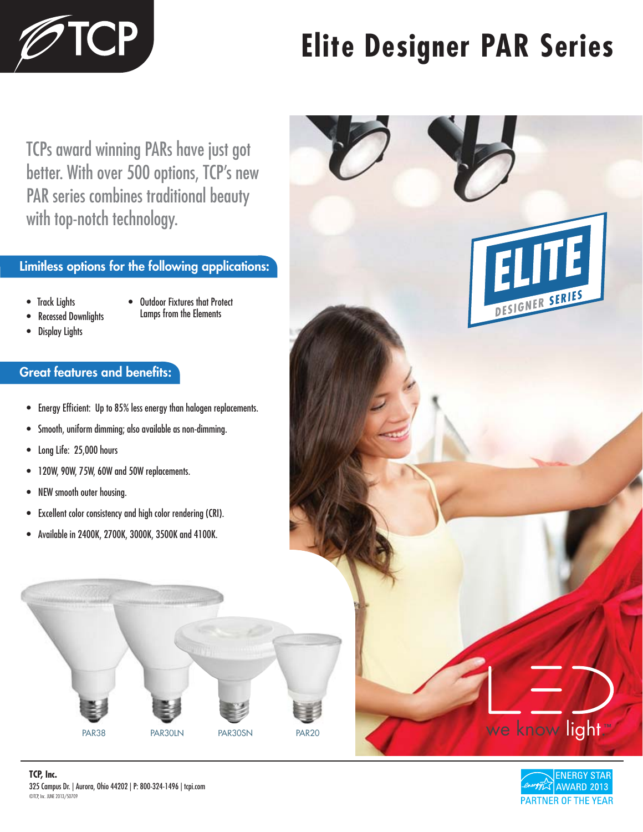

# **Elite Designer PAR Series**

TCPs award winning PARs have just got better. With over 500 options, TCP's new PAR series combines traditional beauty with top-notch technology.

## **Limitless options for the following applications:**

- Track Lights
- Outdoor Fixtures that Protect Lamps from the Elements
- Recessed Downlights
- Display Lights

## **Great features and benefits:**

- Energy Efficient: Up to 85% less energy than halogen replacements.
- Smooth, uniform dimming; also available as non-dimming.
- Long Life: 25,000 hours
- 120W, 90W, 75W, 60W and 50W replacements.
- NEW smooth outer housing.
- Excellent color consistency and high color rendering (CRI).
- Available in 2400K, 2700K, 3000K, 3500K and 4100K.









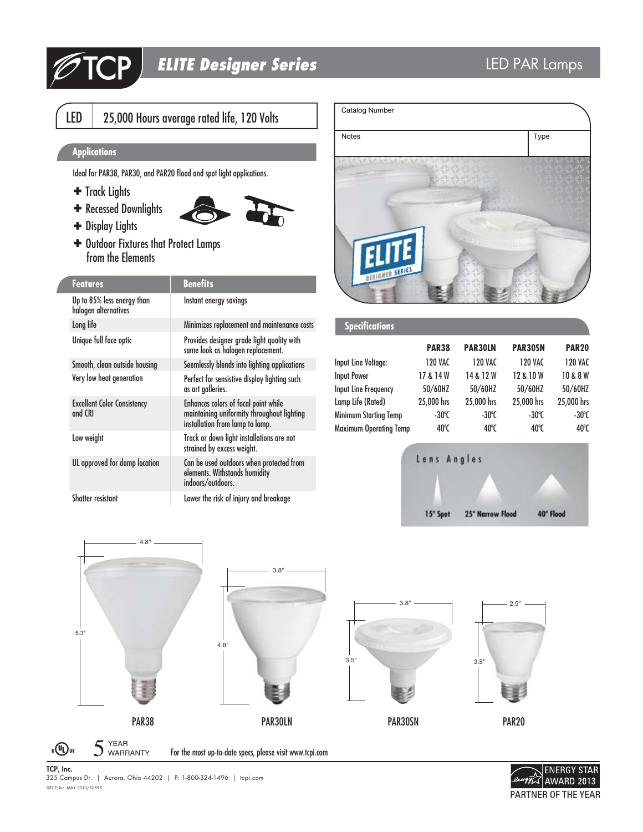

# *ELITE Designer Series*

LED | 25,000 Hours average rated life, 120 Volts

### **Applications**

Ideal for PAR38, PAR30, and PAR20 flood and spot light applications.

- + Track Lights
- **+** Recessed Downlights
- Display Lights
- Outdoor Fixtures that Protect Lamps from the Elements

| <b>Features</b>                                    | <b>Benefits</b>                                                                                                              |
|----------------------------------------------------|------------------------------------------------------------------------------------------------------------------------------|
| Up to 85% less energy than<br>halogen alternatives | Instant energy savings                                                                                                       |
| Long life                                          | Minimizes replacement and maintenance costs                                                                                  |
| Unique full face optic                             | Provides designer grade light quality with<br>same look as halogen replacement.                                              |
| Smooth, clean outside housing                      | Seemlessly blends into lighting applications                                                                                 |
| Very low heat generation                           | Perfect for sensistive display lighting such<br>as art galleries.                                                            |
| <b>Excellent Color Consistency</b><br>and CRI      | <b>Enhances colors of focal point while</b><br>maintaining uniformity throughout lighting<br>installation from lamp to lamp. |
| Low weight                                         | Track or down light installations are not<br>strained by excess weight.                                                      |
| UL approved for damp location                      | Can be used outdoors when protected from<br>elements. Withstands humidity<br>indoors/outdoors.                               |
| Shatter resistant                                  | Lower the risk of injury and breakage                                                                                        |



| <b>PAR38</b>    | <b>PAR30LN</b>  | PAR30SN         | <b>PAR20</b>    |
|-----------------|-----------------|-----------------|-----------------|
| <b>120 VAC</b>  | <b>120 VAC</b>  | <b>120 VAC</b>  | <b>120 VAC</b>  |
| 17 & 14 W       | 14 & 12 W       | 12 & 10 W       | 10 & 8 W        |
| 50/60HZ         | 50/60HZ         | 50/60HZ         | 50/60HZ         |
| 25,000 hrs      | 25,000 hrs      | 25,000 hrs      | 25,000 hrs      |
| $-30^{\circ}$ C | $-30^{\circ}$ C | $-30^{\circ}$ C | $-30^{\circ}$ C |
| 40°C            | 40°C            | 40°C            | 40°C            |
|                 |                 |                 |                 |







©TCP, Inc. MAY 2013/50595 **TCP, Inc.** 325 Campus Dr. | Aurora, Ohio 44202 | P: 1-800-324-1496 | tcpi.com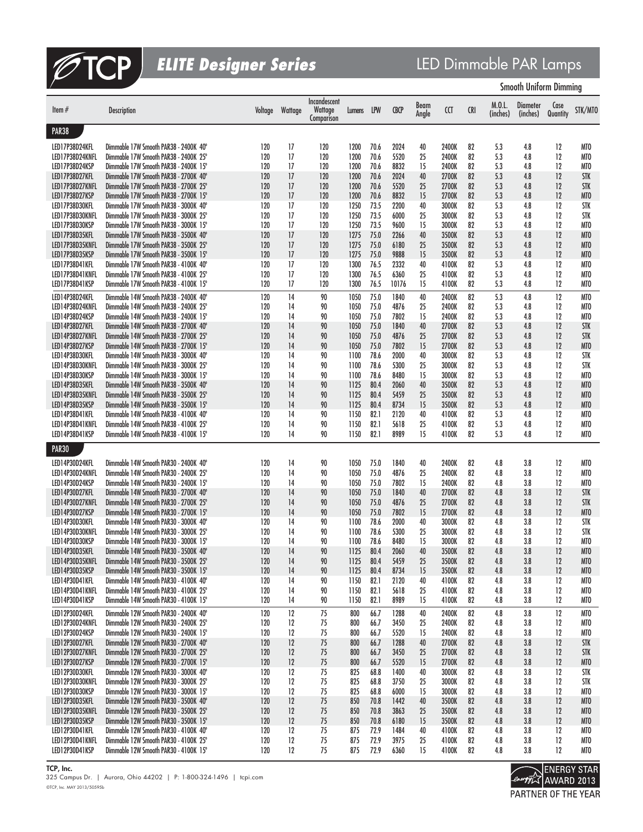

*ELITE Designer Series* LED Dimmable PAR Lamps

|                                   |                                                                                |            |          |                                       |              |              |              |               |                |            | <b>Smooth Uniform Dimming</b> |                      |                    |                                    |  |
|-----------------------------------|--------------------------------------------------------------------------------|------------|----------|---------------------------------------|--------------|--------------|--------------|---------------|----------------|------------|-------------------------------|----------------------|--------------------|------------------------------------|--|
| Item $#$                          | <b>Description</b>                                                             | Voltage    | Wattage  | Incandescent<br>Wattage<br>Comparison | Lumens       | LPW          | <b>CBCP</b>  | Beam<br>Angle | CCT            | <b>CRI</b> | M.0.L.<br>(inches)            | Diameter<br>(inches) | Case<br>Quantity   | STK/MTO                            |  |
| PAR38                             |                                                                                |            |          |                                       |              |              |              |               |                |            |                               |                      |                    |                                    |  |
| LED17P38D24KFL                    | Dimmable 17W Smooth PAR38 - 2400K 40°                                          | 120        | 17       | 120                                   | 1200         | 70.6         | 2024         | 40            | 2400K          | 82         | 5.3                           | 4.8                  | 12                 | MTO                                |  |
| LED17P38D24KNFL                   | Dimmable 17W Smooth PAR38 - 2400K 25°                                          | 120        | 17       | 120                                   | 1200         | 70.6         | 5520         | 25            | 2400K          | 82         | 5.3                           | 4.8                  | 12                 | MTO                                |  |
| LED17P38D24KSP                    | Dimmable 17W Smooth PAR38 - 2400K 15°                                          | 120        | 17       | 120                                   | 1200         | 70.6         | 8832         | 15            | 2400K          | 82         | 5.3                           | 4.8                  | 12                 | MT <sub>0</sub>                    |  |
| LED17P38D27KFL<br>LED17P38D27KNFL | Dimmable 17W Smooth PAR38 - 2700K 40°<br>Dimmable 17W Smooth PAR38 - 2700K 25° | 120<br>120 | 17<br>17 | 120<br>120                            | 1200<br>1200 | 70.6<br>70.6 | 2024<br>5520 | 40<br>25      | 2700K          | 82<br>82   | 5.3<br>5.3                    | 4.8                  | 12<br>12           | <b>STK</b><br><b>STK</b>           |  |
| LED17P38D27KSP                    | Dimmable 17W Smooth PAR38 - 2700K 15°                                          | 120        | 17       | 120                                   | 1200         | 70.6         | 8832         | 15            | 2700K<br>2700K | 82         | 5.3                           | 4.8<br>4.8           | 12                 | MT <sub>0</sub>                    |  |
| LED17P38D30KFL                    | Dimmable 17W Smooth PAR38 - 3000K 40°                                          | 120        | 17       | 120                                   | 1250         | 73.5         | 2200         | 40            | 3000K          | 82         | 5.3                           | 4.8                  | 12                 | <b>STK</b>                         |  |
| LED17P38D30KNFL                   | Dimmable 17W Smooth PAR38 - 3000K 25°                                          | 120        | 17       | 120                                   | 1250         | 73.5         | 6000         | 25            | 3000K          | 82         | 5.3                           | 4.8                  | 12                 | <b>STK</b>                         |  |
| LED17P38D30KSP                    | Dimmable 17W Smooth PAR38 - 3000K 15°                                          | 120        | 17       | 120                                   | 1250         | 73.5         | 9600         | 15            | 3000K          | 82         | 5.3                           | 4.8                  | 12                 | MTO                                |  |
| LED17P38D35KFL                    | Dimmable 17W Smooth PAR38 - 3500K 40°                                          | 120        | 17       | 120                                   | 1275         | 75.0         | 2266         | 40            | 3500K          | 82         | 5.3                           | 4.8                  | 12                 | MT <sub>0</sub>                    |  |
| LED17P38D35KNFL<br>LED17P38D35KSP | Dimmable 17W Smooth PAR38 - 3500K 25°<br>Dimmable 17W Smooth PAR38 - 3500K 15° | 120<br>120 | 17<br>17 | 120<br>120                            | 1275<br>1275 | 75.0<br>75.0 | 6180<br>9888 | 25<br>15      | 3500K<br>3500K | 82<br>82   | 5.3<br>5.3                    | 4.8<br>4.8           | 12<br>12           | MT <sub>0</sub><br>MT <sub>0</sub> |  |
| LED17P38D41KFL                    | Dimmable 17W Smooth PAR38 - 4100K 40°                                          | 120        | 17       | 120                                   | 1300         | 76.5         | 2332         | 40            | 4100K          | 82         | 5.3                           | 4.8                  | 12                 | MTO                                |  |
| LED17P38D41KNFL                   | Dimmable 17W Smooth PAR38 - 4100K 25°                                          | 120        | 17       | 120                                   | 1300         | 76.5         | 6360         | 25            | 4100K          | 82         | 5.3                           | 4.8                  | 12                 | MTO                                |  |
| LED17P38D41KSP                    | Dimmable 17W Smooth PAR38 - 4100K 15°                                          | 120        | 17       | 120                                   | 1300         | 76.5         | 10176        | 15            | 4100K          | 82         | 5.3                           | 4.8                  | 12                 | MTO                                |  |
| LED14P38D24KFL                    | Dimmable 14W Smooth PAR38 - 2400K 40°                                          | 120        | 14       | 90                                    | 1050         | 75.0         | 1840         | 40            | 2400K          | 82         | 5.3                           | 4.8                  | 12                 | MTO                                |  |
| LED14P38D24KNFL                   | Dimmable 14W Smooth PAR38 - 2400K 25°                                          | 120        | 14       | 90                                    | 1050         | 75.0         | 4876         | 25            | 2400K          | 82         | 5.3                           | 4.8                  | 12                 | MTO                                |  |
| LED14P38D24KSP<br>LED14P38D27KFL  | Dimmable 14W Smooth PAR38 - 2400K 15°<br>Dimmable 14W Smooth PAR38 - 2700K 40° | 120<br>120 | 14<br>14 | 90<br>90                              | 1050<br>1050 | 75.0<br>75.0 | 7802         | 15<br>40      | 2400K          | 82<br>82   | 5.3<br>5.3                    | 4.8<br>4.8           | 12<br>12           | MTO<br><b>STK</b>                  |  |
| LED14P38D27KNFL                   | Dimmable 14W Smooth PAR38 - 2700K 25°                                          | 120        | 14       | 90                                    | 1050         | 75.0         | 1840<br>4876 | 25            | 2700K<br>2700K | 82         | 5.3                           | 4.8                  | 12                 | <b>STK</b>                         |  |
| LED14P38D27KSP                    | Dimmable 14W Smooth PAR38 - 2700K 15°                                          | 120        | 14       | 90                                    | 1050         | 75.0         | 7802         | 15            | 2700K          | 82         | 5.3                           | 4.8                  | 12                 | MT <sub>0</sub>                    |  |
| LED14P38D30KFL                    | Dimmable 14W Smooth PAR38 - 3000K 40°                                          | 120        | 14       | 90                                    | 1100         | 78.6         | 2000         | 40            | 3000K          | 82         | 5.3                           | 4.8                  | 12                 | <b>STK</b>                         |  |
| LED14P38D30KNFL                   | Dimmable 14W Smooth PAR38 - 3000K 25°                                          | 120        | 14       | 90                                    | 1100         | 78.6         | 5300         | 25            | 3000K          | 82         | 5.3                           | 4.8                  | 12                 | <b>STK</b>                         |  |
| LED14P38D30KSP                    | Dimmable 14W Smooth PAR38 - 3000K 15°                                          | 120        | 14       | 90                                    | 1100         | 78.6         | 8480         | 15            | 3000K          | 82         | 5.3                           | 4.8                  | 12                 | MTO                                |  |
| LED14P38D35KFL<br>LED14P38D35KNFL | Dimmable 14W Smooth PAR38 - 3500K 40°<br>Dimmable 14W Smooth PAR38 - 3500K 25° | 120<br>120 | 14<br>14 | 90<br>90                              | 1125<br>1125 | 80.4<br>80.4 | 2060<br>5459 | 40<br>25      | 3500K<br>3500K | 82<br>82   | 5.3<br>5.3                    | 4.8<br>4.8           | 12<br>12           | MT <sub>0</sub><br>MT <sub>0</sub> |  |
| LED14P38D35KSP                    | Dimmable 14W Smooth PAR38 - 3500K 15°                                          | 120        | 14       | 90                                    | 1125         | 80.4         | 8734         | 15            | 3500K          | 82         | 5.3                           | 4.8                  | 12                 | MT <sub>0</sub>                    |  |
| LED14P38D41KFL                    | Dimmable 14W Smooth PAR38 - 4100K 40°                                          | 120        | 14       | 90                                    | 1150         | 82.1         | 2120         | 40            | 4100K          | 82         | 5.3                           | 4.8                  | 12                 | MTO                                |  |
| LED14P38D41KNFL                   | Dimmable 14W Smooth PAR38 - 4100K 25°                                          | 120        | 14       | 90                                    | 1150         | 82.1         | 5618         | 25            | 4100K          | 82         | 5.3                           | 4.8                  | 12                 | MT <sub>0</sub>                    |  |
| LED14P38D41KSP                    | Dimmable 14W Smooth PAR38 - 4100K 15°                                          | 120        | 14       | 90                                    | 1150         | 82.1         | 8989         | 15            | 4100K          | 82         | 5.3                           | 4.8                  | 12                 | MTO                                |  |
| PAR <sub>30</sub>                 |                                                                                |            |          |                                       |              |              |              |               |                |            |                               |                      |                    |                                    |  |
| LED14P30D24KFL                    | Dimmable 14W Smooth PAR30 - 2400K 40°                                          | 120        | 14       | 90                                    | 1050         | 75.0         | 1840         | 40            | 2400K          | 82         | 4.8                           | 3.8                  | 12                 | MTO                                |  |
| LED14P30D24KNFL                   | Dimmable 14W Smooth PAR30 - 2400K 25°                                          | 120        | 14       | 90                                    | 1050         | 75.0         | 4876         | 25            | 2400K          | 82         | 4.8                           | 3.8                  | 12                 | MTO                                |  |
| LED14P30D24KSP<br>LED14P30D27KFL  | Dimmable 14W Smooth PAR30 - 2400K 15°<br>Dimmable 14W Smooth PAR30 - 2700K 40° | 120<br>120 | 14<br>14 | 90<br>90                              | 1050         | 75.0<br>75.0 | 7802<br>1840 | 15<br>40      | 2400K          | 82         | 4.8<br>4.8                    | 3.8<br>3.8           | 12<br>12           | MTO<br><b>STK</b>                  |  |
| LED14P30D27KNFL                   | Dimmable 14W Smooth PAR30 - 2700K 25°                                          | 120        | 14       | 90                                    | 1050<br>1050 | 75.0         | 4876         | 25            | 2700K<br>2700K | 82<br>82   | 4.8                           | 3.8                  | 12                 | <b>STK</b>                         |  |
| LED14P30D27KSP                    | Dimmable 14W Smooth PAR30 - 2700K 15°                                          | 120        | 14       | 90                                    | 1050         | 75.0         | 7802         | 15            | 2700K          | 82         | 4.8                           | 3.8                  | 12                 | MT <sub>0</sub>                    |  |
| LED14P30D30KFL                    | Dimmable 14W Smooth PAR30 - 3000K 40°                                          | 120        | 14       | 90                                    | 1100         | 78.6         | 2000         | 40            | 3000K          | 82         | 4.8                           | 3.8                  | 12                 | <b>STK</b>                         |  |
| LED14P30D30KNFL                   | Dimmable 14W Smooth PAR30 - 3000K 25°                                          | 120        | 14       | 90                                    | 1100         | 78.6         | 5300         | 25            | 3000K          | 82         | 4.8                           | 3.8                  | 12                 | <b>STK</b>                         |  |
| LED14P30D30KSP                    | Dimmable 14W Smooth PAR30 - 3000K 15°                                          | 120        | 14       | 90                                    | 1100         | 78.6         | 8480         | 15            | 3000K          | 82         | 4.8                           | 3.8                  | 12                 | MT <sub>0</sub>                    |  |
| LED14P30D35KFL<br>LED14P30D35KNFL | Dimmable 14W Smooth PAR30 - 3500K 40°<br>Dimmable 14W Smooth PAR30 - 3500K 25° | 120<br>120 | 14<br>14 | 90<br>90                              | 1125<br>1125 | 80.4<br>80.4 | 2060<br>5459 | 40<br>25      | 3500K<br>3500K | 82<br>82   | 4.8<br>4.8                    | 3.8<br>3.8           | $12^{\circ}$<br>12 | MIO<br>MTO                         |  |
| LED14P30D35KSP                    | Dimmable 14W Smooth PAR30 - 3500K 15°                                          | 120        | 14       | 90                                    | 1125         | 80.4         | 8734         | 15            | 3500K          | 82         | 4.8                           | 3.8                  | 12                 | MTO                                |  |
| LED14P30D41KFL                    | Dimmable 14W Smooth PAR30 - 4100K 40°                                          | 120        | 14       | 90                                    | 1150         | 82.1         | 2120         | 40            | 4100K          | 82         | 4.8                           | 3.8                  | 12                 | MTO                                |  |
| LED14P30D41KNFL                   | Dimmable 14W Smooth PAR30 - 4100K 25°                                          | 120        | 14       | 90                                    | 1150         | 82.1         | 5618         | 25            | 4100K          | 82         | 4.8                           | 3.8                  | 12                 | MTO                                |  |
| LED14P30D41KSP                    | Dimmable 14W Smooth PAR30 - 4100K 15°                                          | 120        | 14       | 90                                    | 1150         | 82.1         | 8989         | 15            | 4100K          | 82         | 4.8                           | 3.8                  | 12                 | MTO                                |  |
| LED12P30D24KFL                    | Dimmable 12W Smooth PAR30 - 2400K 40°                                          | 120        | 12       | 75                                    | 800          | 66.7         | 1288         | 40            | 2400K          | 82         | 4.8                           | 3.8                  | 12                 | MTO                                |  |
| LED12P30D24KNFL<br>LED12P30D24KSP | Dimmable 12W Smooth PAR30 - 2400K 25°<br>Dimmable 12W Smooth PAR30 - 2400K 15° | 120<br>120 | 12<br>12 | 75<br>75                              | 800<br>800   | 66.7<br>66.7 | 3450<br>5520 | 25<br>15      | 2400K<br>2400K | 82<br>82   | 4.8<br>4.8                    | 3.8<br>3.8           | 12<br>12           | MTO<br>MTO                         |  |
| LED12P30D27KFL                    | Dimmable 12W Smooth PAR30 - 2700K 40°                                          | 120        | 12       | 75                                    | 800          | 66.7         | 1288         | 40            | 2700K          | 82         | 4.8                           | 3.8                  | 12                 | <b>STK</b>                         |  |
| LED12P30D27KNFL                   | Dimmable 12W Smooth PAR30 - 2700K 25°                                          | 120        | 12       | 75                                    | 800          | 66.7         | 3450         | 25            | 2700K          | 82         | 4.8                           | 3.8                  | 12                 | <b>STK</b>                         |  |
| LED12P30D27KSP                    | Dimmable 12W Smooth PAR30 - 2700K 15°                                          | 120        | 12       | 75                                    | 800          | 66.7         | 5520         | 15            | 2700K          | 82         | 4.8                           | 3.8                  | 12                 | MTO                                |  |
| LED12P30D30KFL                    | Dimmable 12W Smooth PAR30 - 3000K 40°                                          | 120        | 12       | 75                                    | 825          | 68.8         | 1400         | 40            | 3000K          | 82         | 4.8                           | 3.8                  | 12                 | STK                                |  |
| LED12P30D30KNFL<br>LED12P30D30KSP | Dimmable 12W Smooth PAR30 - 3000K 25°<br>Dimmable 12W Smooth PAR30 - 3000K 15° | 120<br>120 | 12<br>12 | 75<br>75                              | 825<br>825   | 68.8<br>68.8 | 3750<br>6000 | 25<br>15      | 3000K<br>3000K | 82<br>82   | 4.8<br>4.8                    | 3.8<br>3.8           | 12<br>12           | STK<br>MTO                         |  |
| LED12P30D35KFL                    | Dimmable 12W Smooth PAR30 - 3500K 40°                                          | 120        | 12       | 75                                    | 850          | 70.8         | 1442         | 40            | 3500K          | 82         | 4.8                           | 3.8                  | 12                 | MTO                                |  |
| LED12P30D35KNFL                   | Dimmable 12W Smooth PAR30 - 3500K 25°                                          | 120        | 12       | 75                                    | 850          | 70.8         | 3863         | 25            | 3500K          | 82         | 4.8                           | 3.8                  | 12                 | MTO                                |  |
| LED12P30D35KSP                    | Dimmable 12W Smooth PAR30 - 3500K 15°                                          | 120        | 12       | 75                                    | 850          | 70.8         | 6180         | 15            | 3500K          | 82         | 4.8                           | 3.8                  | 12                 | MTO                                |  |
| LED12P30D41KFL                    | Dimmable 12W Smooth PAR30 - 4100K 40°                                          | 120        | 12       | 75                                    | 875          | 72.9         | 1484         | 40            | 4100K          | 82         | 4.8                           | 3.8                  | 12                 | MTO                                |  |
| LED12P30D41KNFL                   | Dimmable 12W Smooth PAR30 - 4100K 25°<br>Dimmable 12W Smooth PAR30 - 4100K 15° | 120<br>120 | 12<br>12 | 75                                    | 875          | 72.9         | 3975         | 25<br>15      | 4100K          | 82<br>82   | 4.8                           | 3.8<br>3.8           | 12<br>12           | MTO                                |  |
| LED12P30D41KSP                    |                                                                                |            |          | 75                                    | 875          | 72.9         | 6360         |               | 4100K          |            | 4.8                           |                      |                    | MTO                                |  |

**TCP, Inc.**

©TCP, Inc. MAY 2013/50595b 325 Campus Dr. | Aurora, Ohio 44202 | P: 1-800-324-1496 | tcpi.com

**Contract CONTER STAR**<br>Contract AWARD 2013 PARTNER OF THE YEAR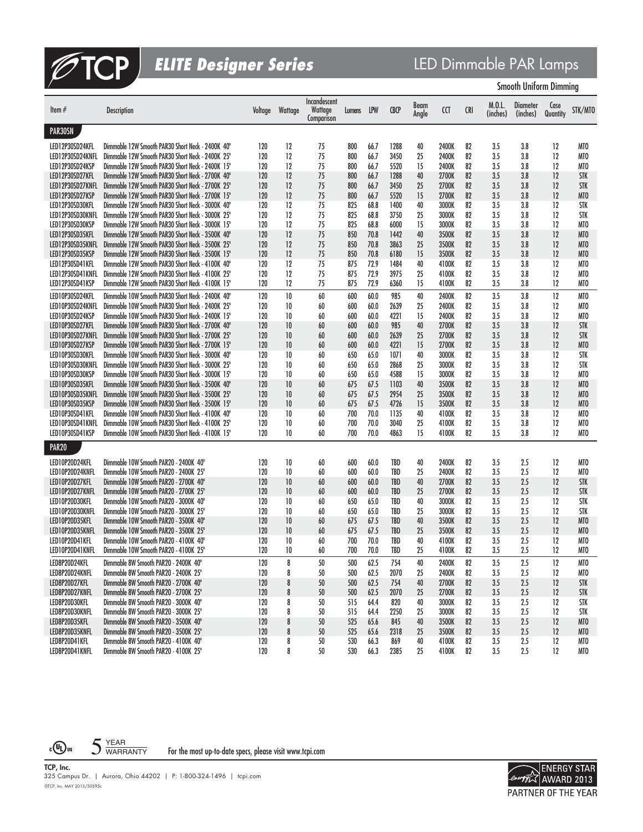

# **ELITE Designer Series**<br>
LED Dimmable PAR Lamps<br>
Smooth Uniform Dimming

| <b>Smooth Uniform Dimming</b> |  |  |
|-------------------------------|--|--|
|-------------------------------|--|--|

| Item $#$          | <b>Description</b>                               | Voltage | Wattage | Incandescent<br>Wattage<br>Comparison | Lumens | LPW  | <b>CBCP</b> | Beam<br>Angle | CCT   | <b>CRI</b> | M.0.L.<br>(inches) | Diameter<br>(inches) | Case<br>Quantity | STK/MTO         |
|-------------------|--------------------------------------------------|---------|---------|---------------------------------------|--------|------|-------------|---------------|-------|------------|--------------------|----------------------|------------------|-----------------|
| PAR30SN           |                                                  |         |         |                                       |        |      |             |               |       |            |                    |                      |                  |                 |
| LED12P30SD24KFL   | Dimmable 12W Smooth PAR30 Short Neck - 2400K 40° | 120     | 12      | 75                                    | 800    | 66.7 | 1288        | 40            | 2400K | 82         | 3.5                | 3.8                  | 12               | MTO             |
| LED12P30SD24KNFL  | Dimmable 12W Smooth PAR30 Short Neck - 2400K 25° | 120     | 12      | 75                                    | 800    | 66.7 | 3450        | 25            | 2400K | 82         | 3.5                | 3.8                  | 12               | MTO             |
| LED12P30SD24KSP   | Dimmable 12W Smooth PAR30 Short Neck - 2400K 15° | 120     | 12      | 75                                    | 800    | 66.7 | 5520        | 15            | 2400K | 82         | 3.5                | 3.8                  | 12               | MTO             |
| LED12P30SD27KFL   | Dimmable 12W Smooth PAR30 Short Neck - 2700K 40° | 120     | 12      | 75                                    | 800    | 66.7 | 1288        | 40            | 2700K | 82         | 3.5                | 3.8                  | 12               | <b>STK</b>      |
| LED12P30SD27KNFL  | Dimmable 12W Smooth PAR30 Short Neck - 2700K 25° | 120     | 12      | 75                                    | 800    | 66.7 | 3450        | 25            | 2700K | 82         | 3.5                | 3.8                  | 12               | <b>STK</b>      |
| LED12P30SD27KSP   | Dimmable 12W Smooth PAR30 Short Neck - 2700K 15° | 120     | 12      | 75                                    | 800    | 66.7 | 5520        | 15            | 2700K | 82         | 3.5                | 3.8                  | 12               | MT <sub>0</sub> |
| LED12P30SD30KFL   | Dimmable 12W Smooth PAR30 Short Neck - 3000K 40° | 120     | 12      | 75                                    | 825    | 68.8 | 1400        | 40            | 3000K | 82         | 3.5                | 3.8                  | 12               | STK             |
| LED12P30SD30KNFL  | Dimmable 12W Smooth PAR30 Short Neck - 3000K 25° | 120     | 12      | 75                                    | 825    | 68.8 | 3750        | 25            | 3000K | 82         | 3.5                | 3.8                  | 12               | <b>STK</b>      |
| LED12P30SD30KSP   | Dimmable 12W Smooth PAR30 Short Neck - 3000K 15° | 120     | 12      | 75                                    | 825    | 68.8 | 6000        | 15            | 3000K | 82         | 3.5                | 3.8                  | 12               | MT <sub>0</sub> |
| LED12P30SD35KFL   | Dimmable 12W Smooth PAR30 Short Neck - 3500K 40° | 120     | 12      | 75                                    | 850    | 70.8 | 1442        | 40            | 3500K | 82         | 3.5                | 3.8                  | 12               | MTO             |
| LED12P30SD35KNFL  | Dimmable 12W Smooth PAR30 Short Neck - 3500K 25° | 120     | 12      | 75                                    | 850    | 70.8 | 3863        | 25            | 3500K | 82         | 3.5                | 3.8                  | $12 \,$          | MTO             |
| LED12P30SD35KSP   | Dimmable 12W Smooth PAR30 Short Neck - 3500K 15° | 120     | 12      | 75                                    | 850    | 70.8 | 6180        | 15            | 3500K | 82         | 3.5                | 3.8                  | $12 \,$          | MTO             |
| LED12P30SD41KFL   | Dimmable 12W Smooth PAR30 Short Neck - 4100K 40° | 120     | 12      | 75                                    | 875    | 72.9 | 1484        | 40            | 4100K | 82         | 3.5                | 3.8                  | 12               | MTO             |
| LED12P30SD41KNFL  | Dimmable 12W Smooth PAR30 Short Neck - 4100K 25° | 120     | 12      | 75                                    | 875    | 72.9 | 3975        | 25            | 4100K | 82         | 3.5                | 3.8                  | 12               | MTO             |
| LED12P30SD41KSP   | Dimmable 12W Smooth PAR30 Short Neck - 4100K 15° | 120     | 12      | 75                                    | 875    | 72.9 | 6360        | 15            | 4100K | 82         | 3.5                | 3.8                  | 12               | MTO             |
| LED10P30SD24KFL   | Dimmable 10W Smooth PAR30 Short Neck - 2400K 40° | 120     | 10      | 60                                    | 600    | 60.0 | 985         | 40            | 2400K | 82         | 3.5                | 3.8                  | 12               | MTO             |
| LED10P30SD24KNFL  | Dimmable 10W Smooth PAR30 Short Neck - 2400K 25° | 120     | 10      | 60                                    | 600    | 60.0 | 2639        | 25            | 2400K | 82         | 3.5                | 3.8                  | 12               | MTO             |
| LED10P30SD24KSP   | Dimmable 10W Smooth PAR30 Short Neck - 2400K 15° | 120     | 10      | 60                                    | 600    | 60.0 | 4221        | 15            | 2400K | 82         | 3.5                | 3.8                  | 12               | MTO             |
| LED10P30SD27KFL   | Dimmable 10W Smooth PAR30 Short Neck - 2700K 40° | 120     | 10      | 60                                    | 600    | 60.0 | 985         | 40            | 2700K | 82         | 3.5                | 3.8                  | 12               | <b>STK</b>      |
| LED10P30SD27KNFL  | Dimmable 10W Smooth PAR30 Short Neck - 2700K 25° | 120     | 10      | 60                                    | 600    | 60.0 | 2639        | 25            | 2700K | 82         | 3.5                | 3.8                  | 12               | <b>STK</b>      |
| LED10P30SD27KSP   | Dimmable 10W Smooth PAR30 Short Neck - 2700K 15° | 120     | 10      | 60                                    | 600    | 60.0 | 4221        | 15            | 2700K | 82         | 3.5                | 3.8                  | $12 \,$          | MTO             |
| LED10P30SD30KFL   | Dimmable 10W Smooth PAR30 Short Neck - 3000K 40° | 120     | 10      | 60                                    | 650    | 65.0 | 1071        | 40            | 3000K | 82         | 3.5                | 3.8                  | 12               | STK             |
| LED10P30SD30KNFL  | Dimmable 10W Smooth PAR30 Short Neck - 3000K 25° | 120     | 10      | 60                                    | 650    | 65.0 | 2868        | 25            | 3000K | 82         | 3.5                | 3.8                  | 12               | <b>STK</b>      |
| LED10P30SD30KSP   | Dimmable 10W Smooth PAR30 Short Neck - 3000K 15° | 120     | 10      | 60                                    | 650    | 65.0 | 4588        | 15            | 3000K | 82         | 3.5                | 3.8                  | 12               | MTO             |
| LED10P30SD35KFL   | Dimmable 10W Smooth PAR30 Short Neck - 3500K 40° | 120     | 10      | 60                                    | 675    | 67.5 | 1103        | 40            | 3500K | 82         | 3.5                | 3.8                  | 12               | MT <sub>0</sub> |
| LED10P30SD35KNFL  | Dimmable 10W Smooth PAR30 Short Neck - 3500K 25° | 120     | 10      | 60                                    | 675    | 67.5 | 2954        | 25            | 3500K | 82         | 3.5                | 3.8                  | 12               | MTO             |
| LED10P30SD35KSP   | Dimmable 10W Smooth PAR30 Short Neck - 3500K 15° | 120     | 10      | 60                                    | 675    | 67.5 | 4726        | 15            | 3500K | 82         | 3.5                | 3.8                  | 12               | MT <sub>0</sub> |
| LED10P30SD41KFL   | Dimmable 10W Smooth PAR30 Short Neck - 4100K 40° | 120     | 10      | 60                                    | 700    | 70.0 | 1135        | 40            | 4100K | 82         | 3.5                | 3.8                  | 12               | MT <sub>0</sub> |
| LED10P30SD41KNFL  | Dimmable 10W Smooth PAR30 Short Neck - 4100K 25° | 120     | 10      | 60                                    | 700    | 70.0 | 3040        | 25            | 4100K | 82         | 3.5                | 3.8                  | 12               | MTO             |
| LED10P30SD41KSP   | Dimmable 10W Smooth PAR30 Short Neck - 4100K 15° | 120     | 10      | 60                                    | 700    | 70.0 | 4863        | 15            | 4100K | 82         | 3.5                | 3.8                  | 12               | MTO             |
| PAR <sub>20</sub> |                                                  |         |         |                                       |        |      |             |               |       |            |                    |                      |                  |                 |
| LED10P20D24KFL    | Dimmable 10W Smooth PAR20 - 2400K 40°            | 120     | 10      | 60                                    | 600    | 60.0 | TBD         | 40            | 2400K | 82         | $3.5\,$            | 2.5                  | 12               | MTO             |
| LED10P20D24KNFL   | Dimmable 10W Smooth PAR20 - 2400K 25°            | 120     | 10      | 60                                    | 600    | 60.0 | <b>TBD</b>  | 25            | 2400K | 82         | 3.5                | 2.5                  | 12               | MTO             |
| LED10P20D27KFL    | Dimmable 10W Smooth PAR20 - 2700K 40°            | 120     | 10      | 60                                    | 600    | 60.0 | TBD         | 40            | 2700K | 82         | 3.5                | 2.5                  | 12               | <b>STK</b>      |
| LED10P20D27KNFL   | Dimmable 10W Smooth PAR20 - 2700K 25°            | 120     | 10      | 60                                    | 600    | 60.0 | TBD         | 25            | 2700K | 82         | 3.5                | 2.5                  | 12               | <b>STK</b>      |
| LED10P20D30KFL    | Dimmable 10W Smooth PAR20 - 3000K 40°            | 120     | 10      | 60                                    | 650    | 65.0 | TBD         | 40            | 3000K | 82         | 3.5                | 2.5                  | 12               | STK             |
| LED10P20D30KNFL   | Dimmable 10W Smooth PAR20 - 3000K 25°            | 120     | 10      | 60                                    | 650    | 65.0 | TBD         | 25            | 3000K | 82         | $3.5\,$            | 2.5                  | 12               | STK             |
| LED10P20D35KFL    | Dimmable 10W Smooth PAR20 - 3500K 40°            | 120     | 10      | 60                                    | 675    | 67.5 | TBD         | 40            | 3500K | 82         | 3.5                | 2.5                  | 12               | MT <sub>0</sub> |
| LED10P20D35KNFL   | Dimmable 10W Smooth PAR20 - 3500K 25°            | 120     | 10      | 60                                    | 675    | 67.5 | TBD         | 25            | 3500K | 82         | 3.5                | 2.5                  | 12               | MTO             |
| LED10P20D41KFL    | Dimmable 10W Smooth PAR20 - 4100K 40°            | 120     | 10      | 60                                    | 700    | 70.0 | TBD         | 40            | 4100K | 82         | 3.5                | 2.5                  | 12               | MTO             |
| LED10P20D41KNFL   | Dimmable 10W Smooth PAR20 - 4100K 25°            | 120     | 10      | 60                                    | 700    | 70.0 | TBD         | 25            | 4100K | 82         | 3.5                | 2.5                  | 12               | MTO             |
| LED8P20D24KFL     | Dimmable 8W Smooth PAR20 - 2400K 40°             | 120     | 8       | 50                                    | 500    | 62.5 | 754         | 40            | 2400K | 82         | 3.5                | 2.5                  | 12               | MTO             |
| LED8P20D24KNFL    | Dimmable 8W Smooth PAR20 - 2400K 25°             | 120     | 8       | 50                                    | 500    | 62.5 | 2070        | 25            | 2400K | 82         | 3.5                | 2.5                  | 12               | MTO             |
| LED8P20D27KFL     | Dimmable 8W Smooth PAR20 - 2700K 40°             | 120     | 8       | 50                                    | 500    | 62.5 | 754         | 40            | 2700K | 82         | 3.5                | 2.5                  | 12               | <b>STK</b>      |
| LED8P20D27KNFL    | Dimmable 8W Smooth PAR20 - 2700K 25°             | 120     | 8       | 50                                    | 500    | 62.5 | 2070        | 25            | 2700K | 82         | 3.5                | 2.5                  | 12               | <b>STK</b>      |
| LED8P20D30KFL     | Dimmable 8W Smooth PAR20 - 3000K 40°             | 120     | 8       | 50                                    | 515    | 64.4 | 820         | 40            | 3000K | 82         | 3.5                | 2.5                  | 12               | STK             |
| LED8P20D30KNFL    | Dimmable 8W Smooth PAR20 - 3000K 25°             | 120     | 8       | 50                                    | 515    | 64.4 | 2250        | 25            | 3000K | 82         | 3.5                | 2.5                  | 12               | STK             |
| LED8P20D35KFL     | Dimmable 8W Smooth PAR20 - 3500K 40°             | 120     | 8       | 50                                    | 525    | 65.6 | 845         | 40            | 3500K | 82         | 3.5                | 2.5                  | 12               | MT <sub>0</sub> |
| LED8P20D35KNFL    | Dimmable 8W Smooth PAR20 - 3500K 25°             | 120     | 8       | 50                                    | 525    | 65.6 | 2318        | 25            | 3500K | 82         | 3.5                | 2.5                  | 12               | MTO             |
| LED8P20D41KFL     | Dimmable 8W Smooth PAR20 - 4100K 40°             | 120     | 8       | 50                                    | 530    | 66.3 | 869         | 40            | 4100K | 82         | $3.5\,$            | 2.5                  | 12               | MTO             |
| LED8P20D41KNFL    | Dimmable 8W Smooth PAR20 - 4100K 25°             | 120     | 8       | 50                                    | 530    | 66.3 | 2385        | 25            | 4100K | 82         | 3.5                | 2.5                  | 12               | MTO             |

 $5 \frac{YEAR}{WARRANTY}$ For the most up-to-date specs, please visit www.tcpi.com

 $c \bigoplus$ us

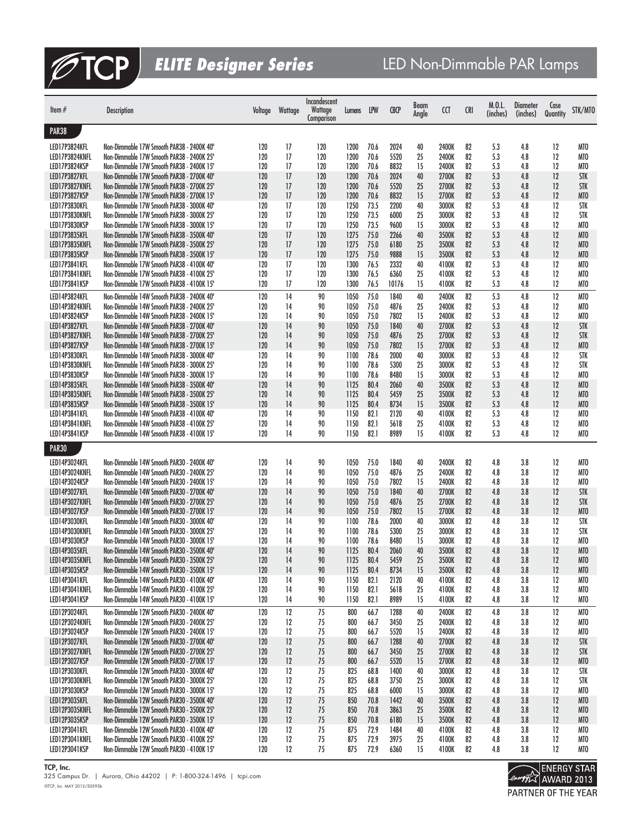

| Item $#$                        | <b>Description</b>                                                                     | Voltage    | Wattage  | Incandescent<br>Wattage<br>Comparison | Lumens       | LPW          | <b>CBCP</b>  | Beam<br>Angle | CCT            | <b>CRI</b> | M.0.L.<br>(inches) | <b>Diameter</b><br>(inches) | Case<br>Quantity | STK/MTO                  |
|---------------------------------|----------------------------------------------------------------------------------------|------------|----------|---------------------------------------|--------------|--------------|--------------|---------------|----------------|------------|--------------------|-----------------------------|------------------|--------------------------|
| <b>PAR38</b>                    |                                                                                        |            |          |                                       |              |              |              |               |                |            |                    |                             |                  |                          |
| LED17P3824KFL                   | Non-Dimmable 17W Smooth PAR38 - 2400K 40°                                              | 120        | 17       | 120                                   | 1200         | 70.6         | 2024         | 40            | 2400K          | 82         | 5.3                | 4.8                         | 12               | MTO                      |
| LED17P3824KNFL                  | Non-Dimmable 17W Smooth PAR38 - 2400K 25°                                              | 120        | 17       | 120                                   | 1200         | 70.6         | 5520         | 25            | 2400K          | 82         | 5.3                | 4.8                         | 12               | MT <sub>0</sub>          |
| LED17P3824KSP                   | Non-Dimmable 17W Smooth PAR38 - 2400K 15°                                              | 120        | 17       | 120                                   | 1200         | 70.6         | 8832         | 15            | 2400K          | 82         | 5.3                | 4.8                         | 12               | MT <sub>0</sub>          |
| LED17P3827KFL                   | Non-Dimmable 17W Smooth PAR38 - 2700K 40°                                              | 120        | 17       | 120                                   | 1200         | 70.6         | 2024         | 40            | 2700K          | 82         | 5.3                | 4.8                         | 12               | <b>STK</b>               |
| LED17P3827KNFL                  | Non-Dimmable 17W Smooth PAR38 - 2700K 25°                                              | 120        | 17       | 120                                   | 1200         | 70.6         | 5520         | 25            | 2700K          | 82         | 5.3                | 4.8                         | 12               | <b>STK</b>               |
| LED17P3827KSP<br>LED17P3830KFL  | Non-Dimmable 17W Smooth PAR38 - 2700K 15°<br>Non-Dimmable 17W Smooth PAR38 - 3000K 40° | 120<br>120 | 17<br>17 | 120<br>120                            | 1200<br>1250 | 70.6<br>73.5 | 8832<br>2200 | 15<br>40      | 2700K<br>3000K | 82<br>82   | 5.3<br>5.3         | 4.8<br>4.8                  | 12<br>12         | MT <sub>0</sub><br>STK   |
| LED17P3830KNFL                  | Non-Dimmable 17W Smooth PAR38 - 3000K 25°                                              | 120        | 17       | 120                                   | 1250         | 73.5         | 6000         | 25            | 3000K          | 82         | 5.3                | 4.8                         | 12               | <b>STK</b>               |
| LED17P3830KSP                   | Non-Dimmable 17W Smooth PAR38 - 3000K 15°                                              | 120        | 17       | 120                                   | 1250         | 73.5         | 9600         | 15            | 3000K          | 82         | 5.3                | 4.8                         | 12               | MTO                      |
| LED17P3835KFL                   | Non-Dimmable 17W Smooth PAR38 - 3500K 40°                                              | 120        | 17       | 120                                   | 1275         | 75.0         | 2266         | 40            | 3500K          | 82         | 5.3                | 4.8                         | 12               | MT <sub>0</sub>          |
| LED17P3835KNFL                  | Non-Dimmable 17W Smooth PAR38 - 3500K 25°                                              | 120        | 17       | 120                                   | 1275         | 75.0         | 6180         | 25            | 3500K          | 82         | 5.3                | 4.8                         | 12               | MT <sub>0</sub>          |
| LED17P3835KSP<br>LED17P3841KFL  | Non-Dimmable 17W Smooth PAR38 - 3500K 15°<br>Non-Dimmable 17W Smooth PAR38 - 4100K 40° | 120<br>120 | 17<br>17 | 120<br>120                            | 1275<br>1300 | 75.0<br>76.5 | 9888<br>2332 | 15<br>40      | 3500K<br>4100K | 82<br>82   | 5.3<br>5.3         | 4.8<br>4.8                  | 12<br>12         | MTO<br>MT <sub>0</sub>   |
| LED17P3841KNFL                  | Non-Dimmable 17W Smooth PAR38 - 4100K 25°                                              | 120        | 17       | 120                                   | 1300         | 76.5         | 6360         | 25            | 4100K          | 82         | 5.3                | 4.8                         | 12               | MT <sub>0</sub>          |
| LED17P3841KSP                   | Non-Dimmable 17W Smooth PAR38 - 4100K 15°                                              | 120        | 17       | 120                                   | 1300         | 76.5         | 10176        | 15            | 4100K          | 82         | 5.3                | 4.8                         | 12               | MT <sub>0</sub>          |
| LED14P3824KFL                   | Non-Dimmable 14W Smooth PAR38 - 2400K 40°                                              | 120        | 14       | 90                                    | 1050         | 75.0         | 1840         | 40            | 2400K          | 82         | 5.3                | 4.8                         | 12               | MTO                      |
| LED14P3824KNFL                  | Non-Dimmable 14W Smooth PAR38 - 2400K 25°                                              | 120        | 14       | 90                                    | 1050         | 75.0         | 4876         | 25            | 2400K          | 82         | 5.3                | 4.8                         | 12               | MTO                      |
| LED14P3824KSP                   | Non-Dimmable 14W Smooth PAR38 - 2400K 15°                                              | 120        | 14       | 90                                    | 1050         | 75.0         | 7802         | 15            | 2400K          | 82         | 5.3                | 4.8                         | 12               | MTO                      |
| LED14P3827KFL<br>LED14P3827KNFL | Non-Dimmable 14W Smooth PAR38 - 2700K 40°<br>Non-Dimmable 14W Smooth PAR38 - 2700K 25° | 120<br>120 | 14<br>14 | 90<br>90                              | 1050<br>1050 | 75.0<br>75.0 | 1840<br>4876 | 40<br>25      | 2700K<br>2700K | 82<br>82   | 5.3<br>5.3         | 4.8<br>4.8                  | 12<br>12         | <b>STK</b><br><b>STK</b> |
| LED14P3827KSP                   | Non-Dimmable 14W Smooth PAR38 - 2700K 15°                                              | 120        | 14       | 90                                    | 1050         | 75.0         | 7802         | 15            | 2700K          | 82         | 5.3                | 4.8                         | 12               | MT <sub>0</sub>          |
| LED14P3830KFL                   | Non-Dimmable 14W Smooth PAR38 - 3000K 40°                                              | 120        | 14       | 90                                    | 1100         | 78.6         | 2000         | 40            | 3000K          | 82         | 5.3                | 4.8                         | 12               | STK                      |
| LED14P3830KNFL                  | Non-Dimmable 14W Smooth PAR38 - 3000K 25°                                              | 120        | 14       | 90                                    | 1100         | 78.6         | 5300         | 25            | 3000K          | 82         | 5.3                | 4.8                         | 12               | STK                      |
| LED14P3830KSP                   | Non-Dimmable 14W Smooth PAR38 - 3000K 15°                                              | 120        | 14       | 90                                    | 1100         | 78.6         | 8480         | 15            | 3000K          | 82         | 5.3                | 4.8                         | 12               | MT <sub>0</sub>          |
| LED14P3835KFL                   | Non-Dimmable 14W Smooth PAR38 - 3500K 40°                                              | 120        | 14       | 90                                    | 1125         | 80.4         | 2060         | 40            | 3500K          | 82         | 5.3                | 4.8                         | 12               | MT <sub>0</sub>          |
| LED14P3835KNFL<br>LED14P3835KSP | Non-Dimmable 14W Smooth PAR38 - 3500K 25°<br>Non-Dimmable 14W Smooth PAR38 - 3500K 15° | 120<br>120 | 14<br>14 | 90<br>90                              | 1125<br>1125 | 80.4<br>80.4 | 5459<br>8734 | 25<br>15      | 3500K<br>3500K | 82<br>82   | 5.3<br>5.3         | 4.8<br>4.8                  | 12<br>12         | MT <sub>0</sub><br>MTO   |
| LED14P3841KFL                   | Non-Dimmable 14W Smooth PAR38 - 4100K 40°                                              | 120        | 14       | 90                                    | 1150         | 82.1         | 2120         | 40            | 4100K          | 82         | 5.3                | 4.8                         | 12               | MTO                      |
| LED14P3841KNFL                  | Non-Dimmable 14W Smooth PAR38 - 4100K 25°                                              | 120        | 14       | 90                                    | 1150         | 82.1         | 5618         | 25            | 4100K          | 82         | 5.3                | 4.8                         | 12               | MTO                      |
| LED14P3841KSP                   | Non-Dimmable 14W Smooth PAR38 - 4100K 15°                                              | 120        | 14       | 90                                    | 1150         | 82.1         | 8989         | 15            | 4100K          | 82         | 5.3                | 4.8                         | 12               | MTO                      |
| <b>PAR30</b>                    |                                                                                        |            |          |                                       |              |              |              |               |                |            |                    |                             |                  |                          |
| LED14P3024KFL                   | Non-Dimmable 14W Smooth PAR30 - 2400K 40°                                              | 120        | 14       | 90                                    | 1050         | 75.0         | 1840         | 40            | 2400K          | 82         | 4.8                | 3.8                         | 12               | MTO                      |
| LED14P3024KNFL                  | Non-Dimmable 14W Smooth PAR30 - 2400K 25°                                              | 120        | 14       | 90                                    | 1050         | 75.0         | 4876         | 25            | 2400K          | 82         | 4.8                | 3.8                         | 12               | MTO                      |
| LED14P3024KSP                   | Non-Dimmable 14W Smooth PAR30 - 2400K 15°                                              | 120        | 14       | 90                                    | 1050         | 75.0         | 7802         | 15            | 2400K          | 82         | 4.8                | 3.8                         | 12               | MT <sub>0</sub>          |
| LED14P3027KFL                   | Non-Dimmable 14W Smooth PAR30 - 2700K 40°                                              | 120        | 14       | 90                                    | 1050         | 75.0         | 1840         | 40            | 2700K          | 82         | 4.8                | 3.8                         | 12               | <b>STK</b>               |
| LED14P3027KNFL<br>LED14P3027KSP | Non-Dimmable 14W Smooth PAR30 - 2700K 25°<br>Non-Dimmable 14W Smooth PAR30 - 2700K 15° | 120<br>120 | 14<br>14 | 90<br>90                              | 1050<br>1050 | 75.0<br>75.0 | 4876<br>7802 | 25<br>15      | 2700K<br>2700K | 82<br>82   | 4.8<br>4.8         | 3.8<br>3.8                  | 12<br>12         | <b>STK</b><br>MTO        |
| LED14P3030KFL                   | Non-Dimmable 14W Smooth PAR30 - 3000K 40°                                              | 120        | 14       | 90                                    | 1100         | 78.6         | 2000         | 40            | 3000K          | 82         | 4.8                | 3.8                         | 12               | <b>STK</b>               |
| LED14P3030KNFL                  | Non-Dimmable 14W Smooth PAR30 - 3000K 25°                                              | 120        | 14       | 90                                    | 1100         | 78.6         | 5300         | 25            | 3000K          | 82         | 4.8                | 3.8                         | 12               | STK                      |
| LED14P3030KSP                   | Non-Dimmable 14W Smooth PAR30 - 3000K 15°                                              | 120        | 14       | 90                                    | 1100         | 78.6         | 8480         | 15            | 3000K          | 82         | 4.8                | 3.8                         | 12               | MTO                      |
| LED14P3035KFL                   | Non-Dimmable 14W Smooth PAR30 - 3500K 40°                                              | 120        | 14       | 90                                    | 1125         | 80.4         | 2060         | 40            | 3500K          | 82         | 4.8                | 3.8                         | 12               | MT <sub>0</sub>          |
| LED14P3035KNFL<br>LED14P3035KSP | Non-Dimmable 14W Smooth PAR30 - 3500K 25°<br>Non-Dimmable 14W Smooth PAR30 - 3500K 15° | 120<br>120 | 14<br>14 | 90                                    | 1125<br>1125 | 80.4<br>80.4 | 5459<br>8734 | 25            | 3500K<br>3500K | 82<br>82   | 4.8                | 3.8<br>3.8                  | 12<br>12         | MT <sub>0</sub>          |
| LED14P3041KFL                   | Non-Dimmable 14W Smooth PAR30 - 4100K 40°                                              | 120        | 14       | 90<br>90                              | 1150         | 82.1         | 2120         | 15<br>40      | 4100K          | 82         | 4.8<br>4.8         | 3.8                         | 12               | MTO<br>MTO               |
| LED14P3041KNFL                  | Non-Dimmable 14W Smooth PAR30 - 4100K 25°                                              | 120        | 14       | 90                                    | 1150         | 82.1         | 5618         | 25            | 4100K          | 82         | 4.8                | 3.8                         | 12               | MTO                      |
| LED14P3041KSP                   | Non-Dimmable 14W Smooth PAR30 - 4100K 15°                                              | 120        | 14       | 90                                    | 1150         | 82.1         | 8989         | 15            | 4100K          | 82         | 4.8                | 3.8                         | 12               | MTO                      |
| LED12P3024KFL                   | Non-Dimmable 12W Smooth PAR30 - 2400K 40°                                              | 120        | 12       | 75                                    | 800          | 66.7         | 1288         | 40            | 2400K          | 82         | 4.8                | 3.8                         | 12               | MTO                      |
| LED12P3024KNFL                  | Non-Dimmable 12W Smooth PAR30 - 2400K 25°                                              | 120        | 12       | 75                                    | 800          | 66.7         | 3450         | 25            | 2400K          | 82         | 4.8                | 3.8                         | 12               | MTO                      |
| LED12P3024KSP                   | Non-Dimmable 12W Smooth PAR30 - 2400K 15°                                              | 120        | 12       | 75                                    | 800          | 66.7         | 5520         | 15            | 2400K          | 82         | 4.8                | 3.8                         | 12               | MTO                      |
| LED12P3027KFL<br>LED12P3027KNFL | Non-Dimmable 12W Smooth PAR30 - 2700K 40°<br>Non-Dimmable 12W Smooth PAR30 - 2700K 25° | 120<br>120 | 12<br>12 | 75<br>75                              | 800<br>800   | 66.7<br>66.7 | 1288<br>3450 | 40<br>25      | 2700K<br>2700K | 82<br>82   | 4.8<br>4.8         | 3.8<br>3.8                  | 12<br>12         | <b>STK</b><br>STK        |
| LED12P3027KSP                   | Non-Dimmable 12W Smooth PAR30 - 2700K 15°                                              | 120        | 12       | 75                                    | 800          | 66.7         | 5520         | 15            | 2700K          | 82         | 4.8                | 3.8                         | 12               | MTO                      |
| LED12P3030KFL                   | Non-Dimmable 12W Smooth PAR30 - 3000K 40°                                              | 120        | 12       | 75                                    | 825          | 68.8         | 1400         | 40            | 3000K          | 82         | 4.8                | 3.8                         | 12               | STK                      |
| LED12P3030KNFL                  | Non-Dimmable 12W Smooth PAR30 - 3000K 25°                                              | 120        | 12       | 75                                    | 825          | 68.8         | 3750         | 25            | 3000K          | 82         | 4.8                | 3.8                         | 12               | STK                      |
| LED12P3030KSP                   | Non-Dimmable 12W Smooth PAR30 - 3000K 15°                                              | 120        | 12       | $75\,$                                | 825          | 68.8         | 6000         | 15            | 3000K          | 82         | 4.8                | 3.8                         | 12               | MTO                      |
| LED12P3035KFL<br>LED12P3035KNFL | Non-Dimmable 12W Smooth PAR30 - 3500K 40°<br>Non-Dimmable 12W Smooth PAR30 - 3500K 25° | 120<br>120 | 12<br>12 | $75\,$<br>75                          | 850<br>850   | 70.8<br>70.8 | 1442<br>3863 | 40<br>25      | 3500K<br>3500K | 82<br>82   | 4.8<br>4.8         | 3.8<br>3.8                  | 12<br>12         | MTO<br>MTO               |
| LED12P3035KSP                   | Non-Dimmable 12W Smooth PAR30 - 3500K 15°                                              | 120        | 12       | 75                                    | 850          | 70.8         | 6180         | 15            | 3500K          | 82         | 4.8                | 3.8                         | 12               | MTO                      |
| LED12P3041KFL                   | Non-Dimmable 12W Smooth PAR30 - 4100K 40°                                              | 120        | 12       | 75                                    | 875          | 72.9         | 1484         | 40            | 4100K          | 82         | 4.8                | 3.8                         | 12               | MTO                      |
| LED12P3041KNFL                  | Non-Dimmable 12W Smooth PAR30 - 4100K 25°                                              | 120        | 12       | 75                                    | 875          | 72.9         | 3975         | 25            | 4100K          | 82         | 4.8                | 3.8                         | 12               | MTO                      |
| LED12P3041KSP                   | Non-Dimmable 12W Smooth PAR30 - 4100K 15°                                              | 120        | 12       | 75                                    | 875          | 72.9         | 6360         | 15            | 4100K          | 82         | 4.8                | 3.8                         | 12               | MTO                      |

**TCP, Inc.**

©TCP, Inc. MAY 2013/50593b 325 Campus Dr. | Aurora, Ohio 44202 | P: 1-800-324-1496 | tcpi.com

ENERGY STAR<br>Concrete AWARD 2013 PARTNER OF THE YEAR